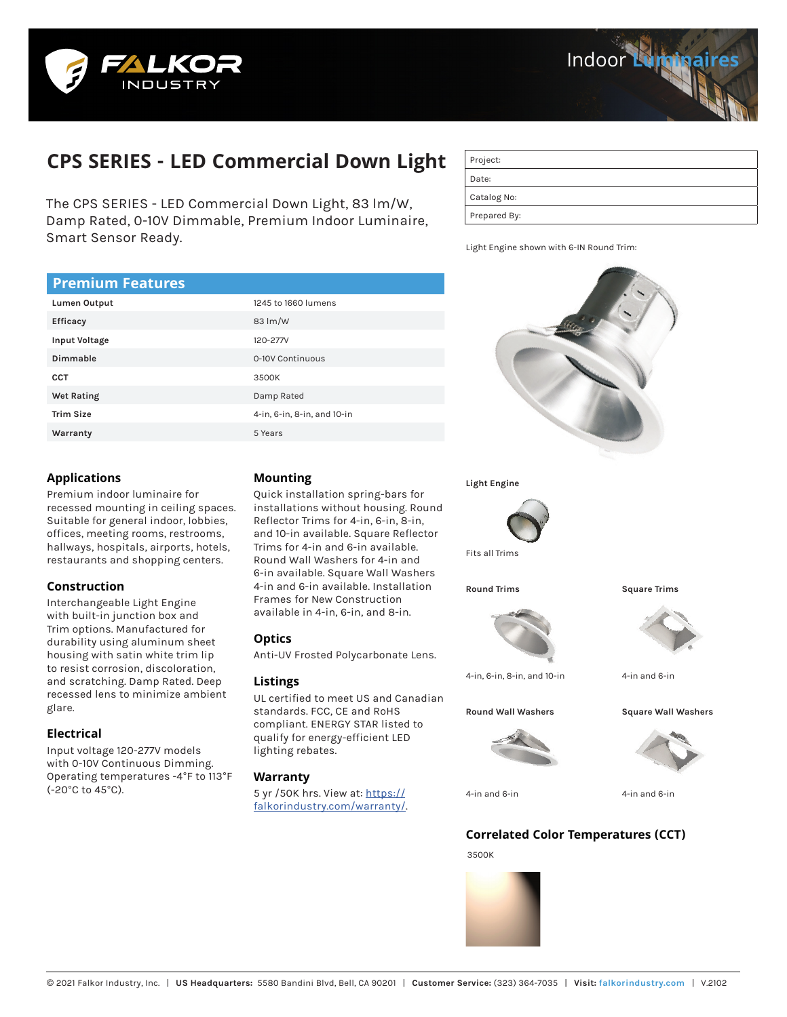



# **CPS SERIES - LED Commercial Down Light**

The CPS SERIES - LED Commercial Down Light, 83 lm/W, Damp Rated, 0-10V Dimmable, Premium Indoor Luminaire, Smart Sensor Ready.

| Project:     |
|--------------|
| Date:        |
| Catalog No:  |
| Prepared By: |

Light Engine shown with 6-IN Round Trim:

# **Premium Features**

| Lumen Output     | 1245 to 1660 lumens         |  |  |  |
|------------------|-----------------------------|--|--|--|
| Efficacy         | 83 lm/W                     |  |  |  |
| Input Voltage    | 120-277V                    |  |  |  |
| Dimmable         | 0-10V Continuous            |  |  |  |
| <b>CCT</b>       | 3500K                       |  |  |  |
| Wet Rating       | Damp Rated                  |  |  |  |
| <b>Trim Size</b> | 4-in, 6-in, 8-in, and 10-in |  |  |  |
| Warranty         | 5 Years                     |  |  |  |

# **Applications**

Premium indoor luminaire for recessed mounting in ceiling spaces. Suitable for general indoor, lobbies, offices, meeting rooms, restrooms, hallways, hospitals, airports, hotels, restaurants and shopping centers.

## **Construction**

Interchangeable Light Engine with built-in junction box and Trim options. Manufactured for durability using aluminum sheet housing with satin white trim lip to resist corrosion, discoloration, and scratching. Damp Rated. Deep recessed lens to minimize ambient glare.

## **Electrical**

Input voltage 120-277V models with 0-10V Continuous Dimming. Operating temperatures -4°F to 113°F (-20°C to 45°C).

# **Mounting**

Quick installation spring-bars for installations without housing. Round Reflector Trims for 4-in, 6-in, 8-in, and 10-in available. Square Reflector Trims for 4-in and 6-in available. Round Wall Washers for 4-in and 6-in available. Square Wall Washers 4-in and 6-in available. Installation Frames for New Construction available in 4-in, 6-in, and 8-in.

## **Optics**

Anti-UV Frosted Polycarbonate Lens.

#### **Listings**

UL certified to meet US and Canadian standards. FCC, CE and RoHS compliant. ENERGY STAR listed to qualify for energy-efficient LED lighting rebates.

#### **Warranty**

5 yr /50K hrs. View at: [https://](https://falkorindustry.com/warranty/) [falkorindustry.com/warranty/.](https://falkorindustry.com/warranty/)







4-in and 6-in 4-in and 6-in

# **Correlated Color Temperatures (CCT)**

3500K

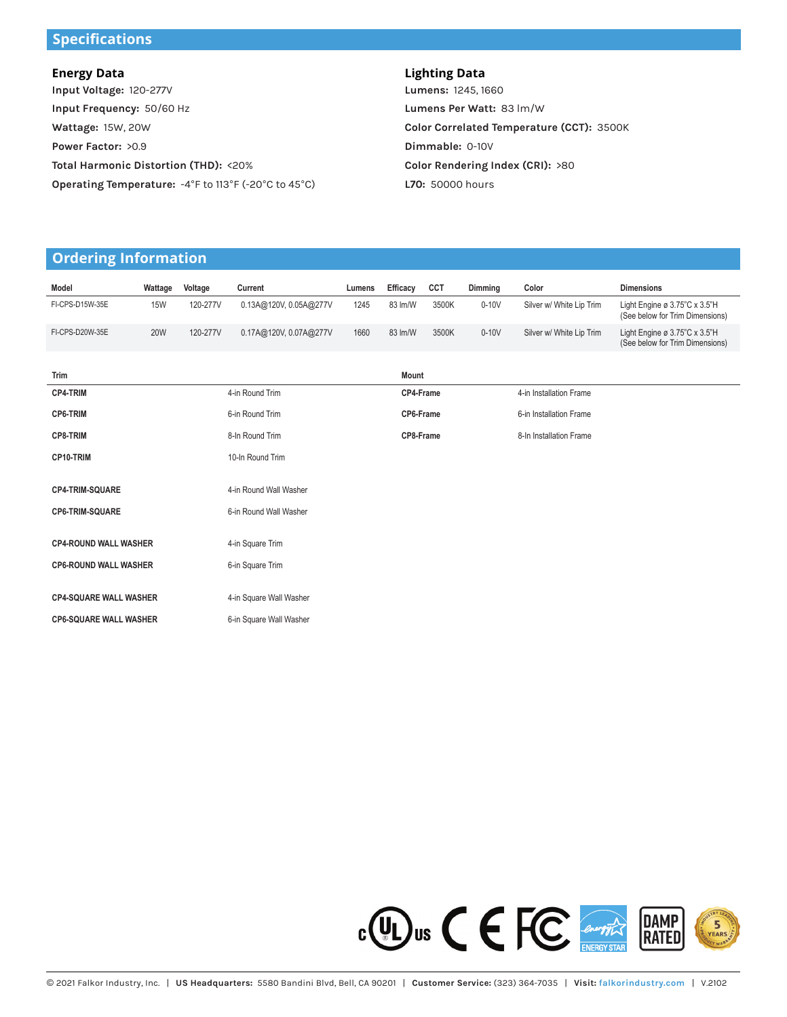# **Specifications**

| <b>Energy Data</b>                                   | <b>Lighting Data</b>            |  |  |
|------------------------------------------------------|---------------------------------|--|--|
| Input Voltage: 120-277V                              | Lumens: 1245, 1660              |  |  |
| Input Frequency: 50/60 Hz                            | Lumens Per Watt: 83 lm/         |  |  |
| Wattage: 15W, 20W                                    | <b>Color Correlated Tempera</b> |  |  |
| Power Factor: >0.9                                   | Dimmable: 0-10V                 |  |  |
| Total Harmonic Distortion (THD): <20%                | <b>Color Rendering Index (C</b> |  |  |
| Operating Temperature: -4°F to 113°F (-20°C to 45°C) | <b>L70: 50000 hours</b>         |  |  |

**Lumens Per Watt:** 83 lm/W **ature (CCT):** 3500K **CRI):** >80 **L70:** 50000 hours

# **Ordering Information**

| Model                         | Wattage    | Voltage  | Current                 | Lumens    | Efficacy | CCT                     | Dimming                 | Color                    | <b>Dimensions</b>                                                |
|-------------------------------|------------|----------|-------------------------|-----------|----------|-------------------------|-------------------------|--------------------------|------------------------------------------------------------------|
| FI-CPS-D15W-35E               | <b>15W</b> | 120-277V | 0.13A@120V, 0.05A@277V  | 1245      | 83 lm/W  | 3500K                   | $0-10V$                 | Silver w/ White Lip Trim | Light Engine ø 3.75"C x 3.5"H<br>(See below for Trim Dimensions) |
| FI-CPS-D20W-35E               | <b>20W</b> | 120-277V | 0.17A@120V, 0.07A@277V  | 1660      | 83 lm/W  | 3500K                   | $0-10V$                 | Silver w/ White Lip Trim | Light Engine ø 3.75"C x 3.5"H<br>(See below for Trim Dimensions) |
| Trim                          |            |          |                         |           | Mount    |                         |                         |                          |                                                                  |
| CP4-TRIM                      |            |          | 4-in Round Trim         | CP4-Frame |          | 4-in Installation Frame |                         |                          |                                                                  |
| CP6-TRIM                      |            |          | 6-in Round Trim         | CP6-Frame |          |                         | 6-in Installation Frame |                          |                                                                  |
| <b>CP8-TRIM</b>               |            |          | 8-In Round Trim         | CP8-Frame |          |                         | 8-In Installation Frame |                          |                                                                  |
| CP10-TRIM                     |            |          | 10-In Round Trim        |           |          |                         |                         |                          |                                                                  |
| <b>CP4-TRIM-SQUARE</b>        |            |          | 4-in Round Wall Washer  |           |          |                         |                         |                          |                                                                  |
| CP6-TRIM-SQUARE               |            |          | 6-in Round Wall Washer  |           |          |                         |                         |                          |                                                                  |
| <b>CP4-ROUND WALL WASHER</b>  |            |          | 4-in Square Trim        |           |          |                         |                         |                          |                                                                  |
| <b>CP6-ROUND WALL WASHER</b>  |            |          | 6-in Square Trim        |           |          |                         |                         |                          |                                                                  |
| <b>CP4-SQUARE WALL WASHER</b> |            |          | 4-in Square Wall Washer |           |          |                         |                         |                          |                                                                  |
| <b>CP6-SQUARE WALL WASHER</b> |            |          | 6-in Square Wall Washer |           |          |                         |                         |                          |                                                                  |